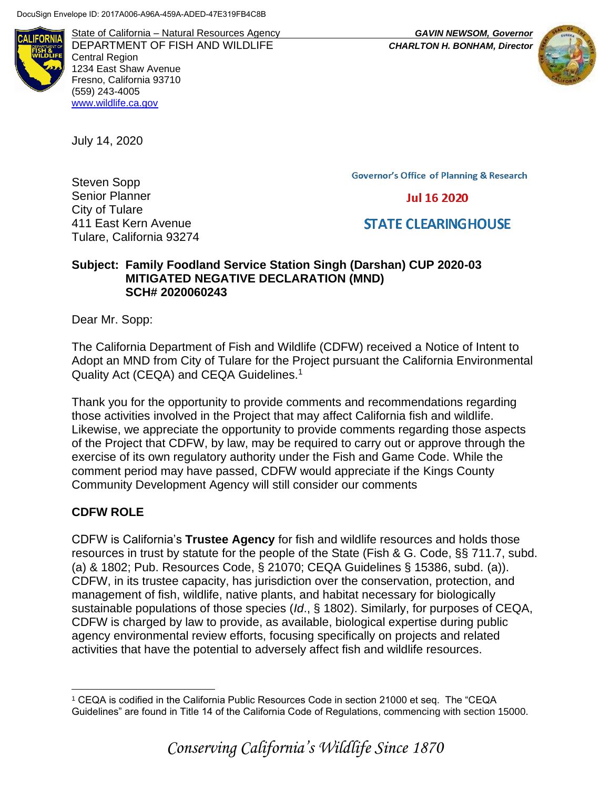**ALIFORN** 

State of California – Natural Resources Agency *GAVIN NEWSOM, Governor* DEPARTMENT OF FISH AND WILDLIFE *CHARLTON H. BONHAM, Director*  Central Region 1234 East Shaw Avenue Fresno, California 93710 (559) 243-4005 [www.wildlife.ca.gov](http://www.wildlife.ca.gov/)

July 14, 2020

Steven Sopp Senior Planner City of Tulare 411 East Kern Avenue Tulare, California 93274 **Governor's Office of Planning & Research** 

**Jul 16 2020** 

# **STATE CLEARINGHOUSE**

## **Subject: Family Foodland Service Station Singh (Darshan) CUP 2020-03 MITIGATED NEGATIVE DECLARATION (MND) SCH# 2020060243**

Dear Mr. Sopp:

The California Department of Fish and Wildlife (CDFW) received a Notice of Intent to Adopt an MND from City of Tulare for the Project pursuant the California Environmental Quality Act (CEQA) and CEQA Guidelines.<sup>1</sup>

Thank you for the opportunity to provide comments and recommendations regarding those activities involved in the Project that may affect California fish and wildlife. Likewise, we appreciate the opportunity to provide comments regarding those aspects of the Project that CDFW, by law, may be required to carry out or approve through the exercise of its own regulatory authority under the Fish and Game Code. While the comment period may have passed, CDFW would appreciate if the Kings County Community Development Agency will still consider our comments

# **CDFW ROLE**

CDFW is California's **Trustee Agency** for fish and wildlife resources and holds those resources in trust by statute for the people of the State (Fish & G. Code, §§ 711.7, subd. (a) & 1802; Pub. Resources Code, § 21070; CEQA Guidelines § 15386, subd. (a)). CDFW, in its trustee capacity, has jurisdiction over the conservation, protection, and management of fish, wildlife, native plants, and habitat necessary for biologically sustainable populations of those species (*Id*., § 1802). Similarly, for purposes of CEQA, CDFW is charged by law to provide, as available, biological expertise during public agency environmental review efforts, focusing specifically on projects and related activities that have the potential to adversely affect fish and wildlife resources.

<sup>1</sup> CEQA is codified in the California Public Resources Code in section 21000 et seq. The "CEQA Guidelines" are found in Title 14 of the California Code of Regulations, commencing with section 15000.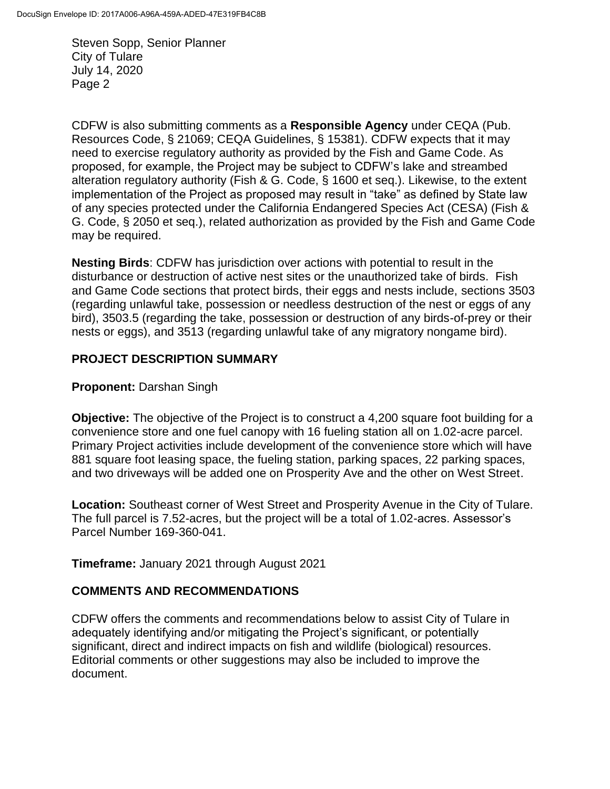CDFW is also submitting comments as a **Responsible Agency** under CEQA (Pub. Resources Code, § 21069; CEQA Guidelines, § 15381). CDFW expects that it may need to exercise regulatory authority as provided by the Fish and Game Code. As proposed, for example, the Project may be subject to CDFW's lake and streambed alteration regulatory authority (Fish & G. Code, § 1600 et seq.). Likewise, to the extent implementation of the Project as proposed may result in "take" as defined by State law of any species protected under the California Endangered Species Act (CESA) (Fish & G. Code, § 2050 et seq.), related authorization as provided by the Fish and Game Code may be required.

**Nesting Birds**: CDFW has jurisdiction over actions with potential to result in the disturbance or destruction of active nest sites or the unauthorized take of birds. Fish and Game Code sections that protect birds, their eggs and nests include, sections 3503 (regarding unlawful take, possession or needless destruction of the nest or eggs of any bird), 3503.5 (regarding the take, possession or destruction of any birds-of-prey or their nests or eggs), and 3513 (regarding unlawful take of any migratory nongame bird).

# **PROJECT DESCRIPTION SUMMARY**

## **Proponent:** Darshan Singh

**Objective:** The objective of the Project is to construct a 4,200 square foot building for a convenience store and one fuel canopy with 16 fueling station all on 1.02-acre parcel. Primary Project activities include development of the convenience store which will have 881 square foot leasing space, the fueling station, parking spaces, 22 parking spaces, and two driveways will be added one on Prosperity Ave and the other on West Street.

**Location:** Southeast corner of West Street and Prosperity Avenue in the City of Tulare. The full parcel is 7.52-acres, but the project will be a total of 1.02-acres. Assessor's Parcel Number 169-360-041.

**Timeframe:** January 2021 through August 2021

# **COMMENTS AND RECOMMENDATIONS**

CDFW offers the comments and recommendations below to assist City of Tulare in adequately identifying and/or mitigating the Project's significant, or potentially significant, direct and indirect impacts on fish and wildlife (biological) resources. Editorial comments or other suggestions may also be included to improve the document.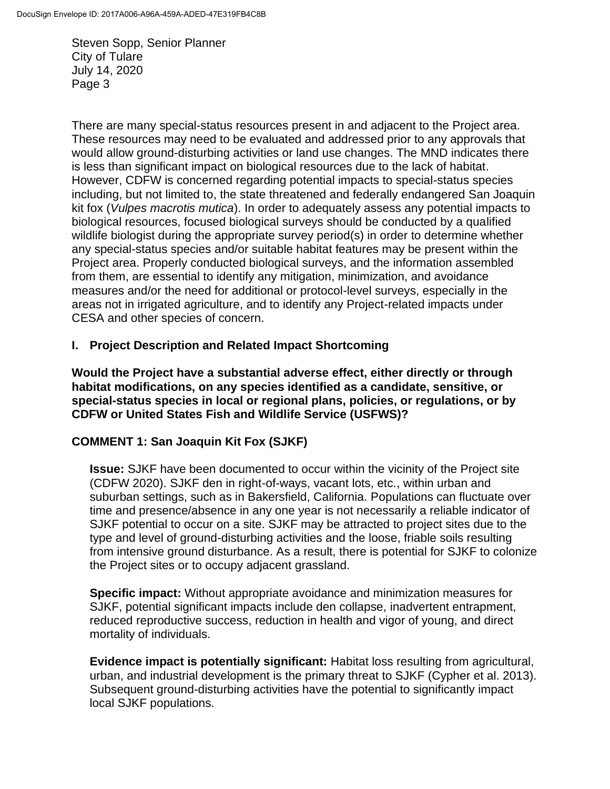There are many special-status resources present in and adjacent to the Project area. These resources may need to be evaluated and addressed prior to any approvals that would allow ground-disturbing activities or land use changes. The MND indicates there is less than significant impact on biological resources due to the lack of habitat. However, CDFW is concerned regarding potential impacts to special-status species including, but not limited to, the state threatened and federally endangered San Joaquin kit fox (*Vulpes macrotis mutica*). In order to adequately assess any potential impacts to biological resources, focused biological surveys should be conducted by a qualified wildlife biologist during the appropriate survey period(s) in order to determine whether any special-status species and/or suitable habitat features may be present within the Project area. Properly conducted biological surveys, and the information assembled from them, are essential to identify any mitigation, minimization, and avoidance measures and/or the need for additional or protocol-level surveys, especially in the areas not in irrigated agriculture, and to identify any Project-related impacts under CESA and other species of concern.

## **I. Project Description and Related Impact Shortcoming**

**Would the Project have a substantial adverse effect, either directly or through habitat modifications, on any species identified as a candidate, sensitive, or special-status species in local or regional plans, policies, or regulations, or by CDFW or United States Fish and Wildlife Service (USFWS)?** 

#### **COMMENT 1: San Joaquin Kit Fox (SJKF)**

**Issue:** SJKF have been documented to occur within the vicinity of the Project site (CDFW 2020). SJKF den in right-of-ways, vacant lots, etc., within urban and suburban settings, such as in Bakersfield, California. Populations can fluctuate over time and presence/absence in any one year is not necessarily a reliable indicator of SJKF potential to occur on a site. SJKF may be attracted to project sites due to the type and level of ground-disturbing activities and the loose, friable soils resulting from intensive ground disturbance. As a result, there is potential for SJKF to colonize the Project sites or to occupy adjacent grassland.

**Specific impact:** Without appropriate avoidance and minimization measures for SJKF, potential significant impacts include den collapse, inadvertent entrapment, reduced reproductive success, reduction in health and vigor of young, and direct mortality of individuals.

**Evidence impact is potentially significant:** Habitat loss resulting from agricultural, urban, and industrial development is the primary threat to SJKF (Cypher et al. 2013). Subsequent ground-disturbing activities have the potential to significantly impact local SJKF populations.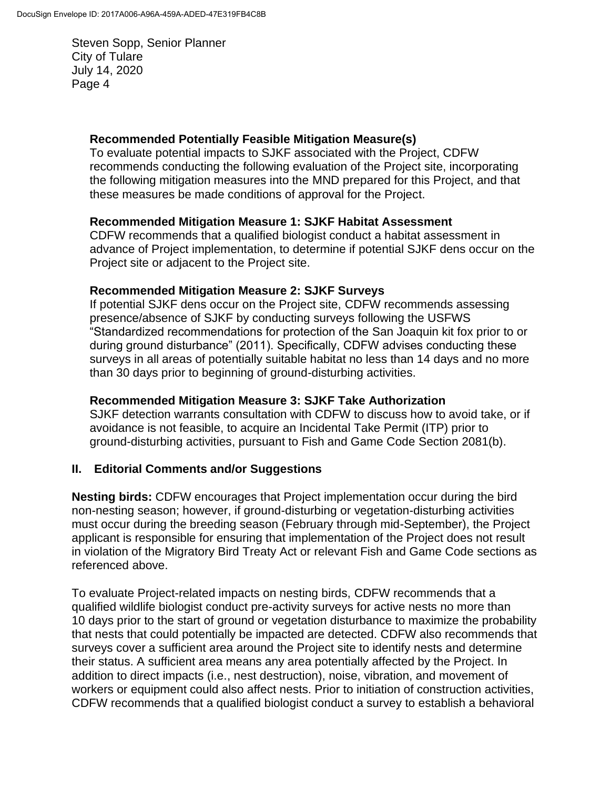#### **Recommended Potentially Feasible Mitigation Measure(s)**

To evaluate potential impacts to SJKF associated with the Project, CDFW recommends conducting the following evaluation of the Project site, incorporating the following mitigation measures into the MND prepared for this Project, and that these measures be made conditions of approval for the Project.

#### **Recommended Mitigation Measure 1: SJKF Habitat Assessment**

CDFW recommends that a qualified biologist conduct a habitat assessment in advance of Project implementation, to determine if potential SJKF dens occur on the Project site or adjacent to the Project site.

## **Recommended Mitigation Measure 2: SJKF Surveys**

If potential SJKF dens occur on the Project site, CDFW recommends assessing presence/absence of SJKF by conducting surveys following the USFWS "Standardized recommendations for protection of the San Joaquin kit fox prior to or during ground disturbance" (2011). Specifically, CDFW advises conducting these surveys in all areas of potentially suitable habitat no less than 14 days and no more than 30 days prior to beginning of ground-disturbing activities.

#### **Recommended Mitigation Measure 3: SJKF Take Authorization**

SJKF detection warrants consultation with CDFW to discuss how to avoid take, or if avoidance is not feasible, to acquire an Incidental Take Permit (ITP) prior to ground-disturbing activities, pursuant to Fish and Game Code Section 2081(b).

# **II. Editorial Comments and/or Suggestions**

**Nesting birds:** CDFW encourages that Project implementation occur during the bird non-nesting season; however, if ground-disturbing or vegetation-disturbing activities must occur during the breeding season (February through mid-September), the Project applicant is responsible for ensuring that implementation of the Project does not result in violation of the Migratory Bird Treaty Act or relevant Fish and Game Code sections as referenced above.

To evaluate Project-related impacts on nesting birds, CDFW recommends that a qualified wildlife biologist conduct pre-activity surveys for active nests no more than 10 days prior to the start of ground or vegetation disturbance to maximize the probability that nests that could potentially be impacted are detected. CDFW also recommends that surveys cover a sufficient area around the Project site to identify nests and determine their status. A sufficient area means any area potentially affected by the Project. In addition to direct impacts (i.e., nest destruction), noise, vibration, and movement of workers or equipment could also affect nests. Prior to initiation of construction activities, CDFW recommends that a qualified biologist conduct a survey to establish a behavioral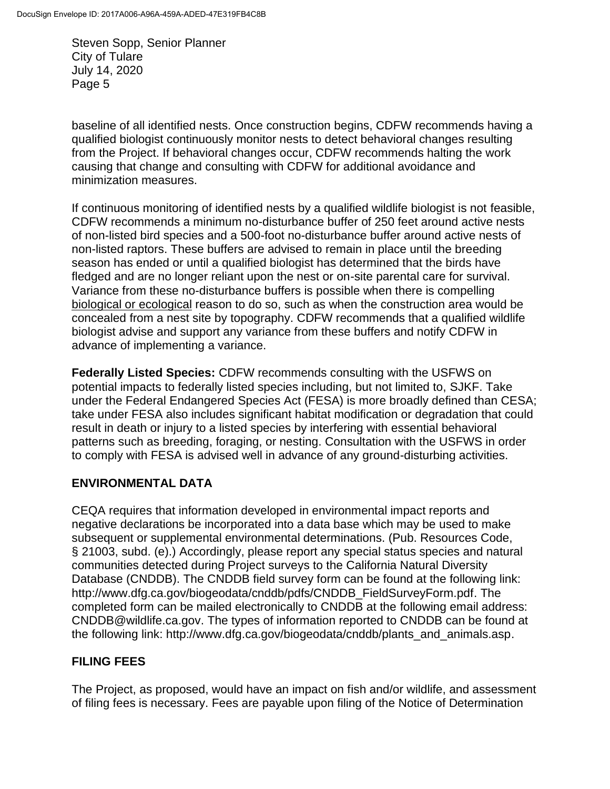baseline of all identified nests. Once construction begins, CDFW recommends having a qualified biologist continuously monitor nests to detect behavioral changes resulting from the Project. If behavioral changes occur, CDFW recommends halting the work causing that change and consulting with CDFW for additional avoidance and minimization measures.

If continuous monitoring of identified nests by a qualified wildlife biologist is not feasible, CDFW recommends a minimum no-disturbance buffer of 250 feet around active nests of non-listed bird species and a 500-foot no-disturbance buffer around active nests of non-listed raptors. These buffers are advised to remain in place until the breeding season has ended or until a qualified biologist has determined that the birds have fledged and are no longer reliant upon the nest or on-site parental care for survival. Variance from these no-disturbance buffers is possible when there is compelling biological or ecological reason to do so, such as when the construction area would be concealed from a nest site by topography. CDFW recommends that a qualified wildlife biologist advise and support any variance from these buffers and notify CDFW in advance of implementing a variance.

**Federally Listed Species:** CDFW recommends consulting with the USFWS on potential impacts to federally listed species including, but not limited to, SJKF. Take under the Federal Endangered Species Act (FESA) is more broadly defined than CESA; take under FESA also includes significant habitat modification or degradation that could result in death or injury to a listed species by interfering with essential behavioral patterns such as breeding, foraging, or nesting. Consultation with the USFWS in order to comply with FESA is advised well in advance of any ground-disturbing activities.

#### **ENVIRONMENTAL DATA**

CEQA requires that information developed in environmental impact reports and negative declarations be incorporated into a data base which may be used to make subsequent or supplemental environmental determinations. (Pub. Resources Code, § 21003, subd. (e).) Accordingly, please report any special status species and natural communities detected during Project surveys to the California Natural Diversity Database (CNDDB). The CNDDB field survey form can be found at the following link: http://www.dfg.ca.gov/biogeodata/cnddb/pdfs/CNDDB\_FieldSurveyForm.pdf. The completed form can be mailed electronically to CNDDB at the following email address: CNDDB@wildlife.ca.gov. The types of information reported to CNDDB can be found at the following link: http://www.dfg.ca.gov/biogeodata/cnddb/plants\_and\_animals.asp.

# **FILING FEES**

The Project, as proposed, would have an impact on fish and/or wildlife, and assessment of filing fees is necessary. Fees are payable upon filing of the Notice of Determination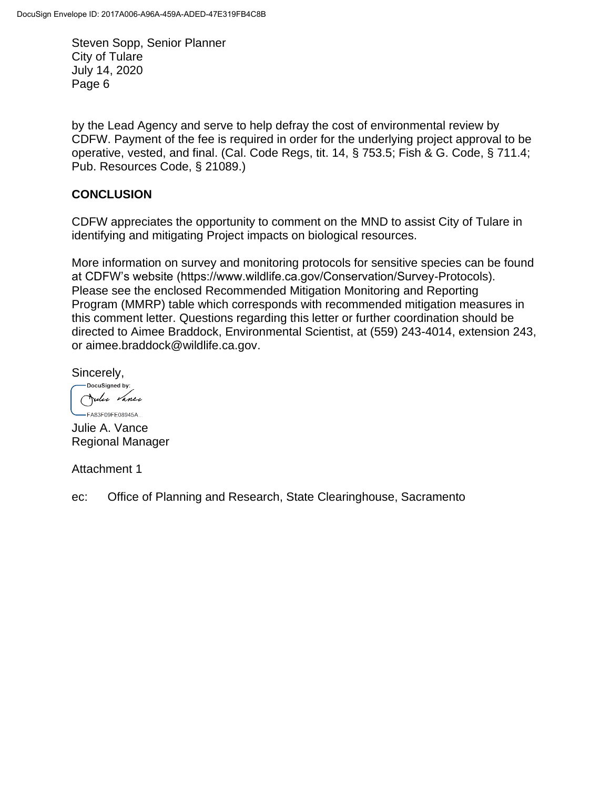by the Lead Agency and serve to help defray the cost of environmental review by CDFW. Payment of the fee is required in order for the underlying project approval to be operative, vested, and final. (Cal. Code Regs, tit. 14, § 753.5; Fish & G. Code, § 711.4; Pub. Resources Code, § 21089.)

#### **CONCLUSION**

CDFW appreciates the opportunity to comment on the MND to assist City of Tulare in identifying and mitigating Project impacts on biological resources.

More information on survey and monitoring protocols for sensitive species can be found at CDFW's website (https://www.wildlife.ca.gov/Conservation/Survey-Protocols). Please see the enclosed Recommended Mitigation Monitoring and Reporting Program (MMRP) table which corresponds with recommended mitigation measures in this comment letter. Questions regarding this letter or further coordination should be directed to Aimee Braddock, Environmental Scientist, at (559) 243-4014, extension 243, or aimee.braddock@wildlife.ca.gov.

Sincerely,

-DocuSigned by: Julie Vance  $-FA83F09FF08945A$ 

Julie A. Vance Regional Manager

Attachment 1

ec: Office of Planning and Research, State Clearinghouse, Sacramento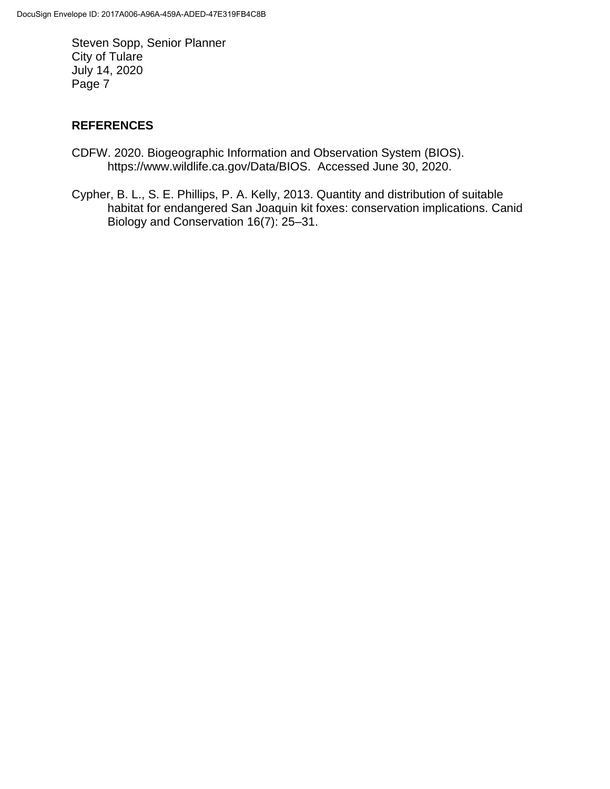## **REFERENCES**

- CDFW. 2020. Biogeographic Information and Observation System (BIOS). https://www.wildlife.ca.gov/Data/BIOS. Accessed June 30, 2020.
- Cypher, B. L., S. E. Phillips, P. A. Kelly, 2013. Quantity and distribution of suitable habitat for endangered San Joaquin kit foxes: conservation implications. Canid Biology and Conservation 16(7): 25–31.